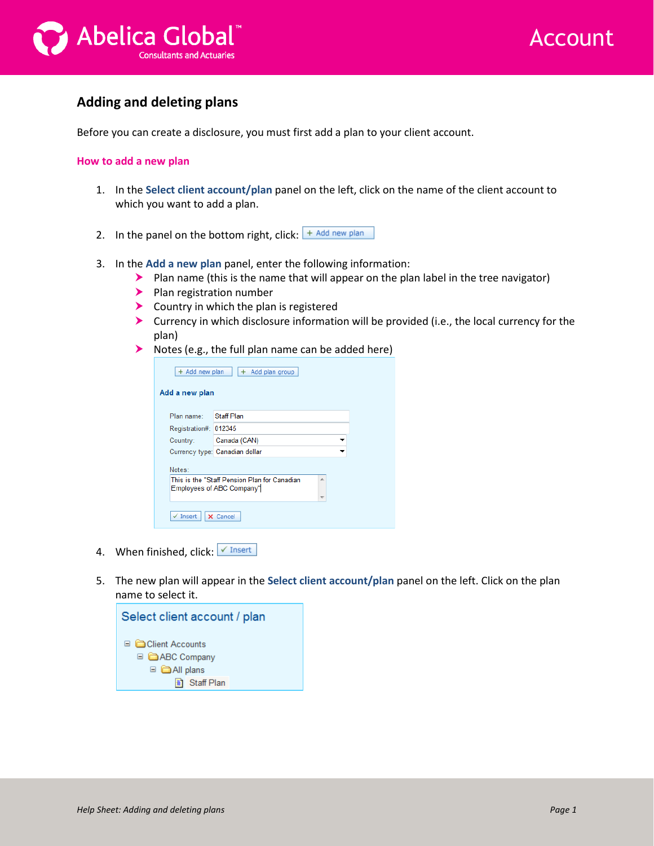



## **Adding and deleting plans**

Before you can create a disclosure, you must first add a plan to your client account.

## **How to add a new plan**

- 1. In the **Select client account/plan** panel on the left, click on the name of the client account to which you want to add a plan.
- 2. In the panel on the bottom right, click:  $\frac{1}{2}$  + Add new plan
- 3. In the **Add a new plan** panel, enter the following information:
	- $\blacktriangleright$  Plan name (this is the name that will appear on the plan label in the tree navigator)
	- > Plan registration number
	- **EX Country in which the plan is registered**
	- Currency in which disclosure information will be provided (i.e., the local currency for the plan)
	- $\triangleright$  Notes (e.g., the full plan name can be added here)

| + Add new plan<br>Add plan group                                                                           |                                |  |
|------------------------------------------------------------------------------------------------------------|--------------------------------|--|
| Add a new plan                                                                                             |                                |  |
| Plan name:                                                                                                 | Staff Plan                     |  |
| Registration#: 012345                                                                                      |                                |  |
| Country:                                                                                                   | Canada (CAN)                   |  |
|                                                                                                            | Currency type: Canadian dollar |  |
| Notes:                                                                                                     |                                |  |
| This is the "Staff Pension Plan for Canadian<br>À<br>Employees of ABC Company"<br>$\overline{\phantom{a}}$ |                                |  |
| $\checkmark$ Insert<br>X Cancel                                                                            |                                |  |

- 4. When finished, click:  $\sqrt{\frac{M}{s}}$  Insert
- 5. The new plan will appear in the **Select client account/plan** panel on the left. Click on the plan name to select it.